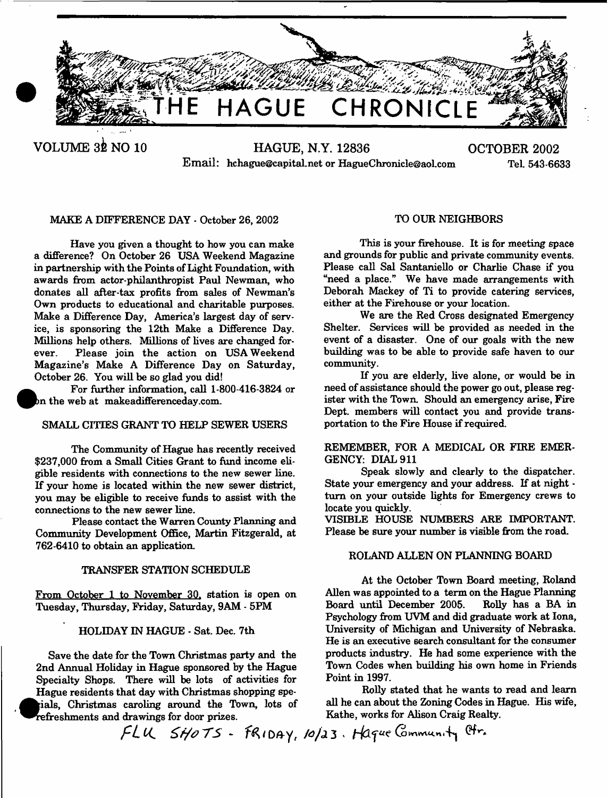

Email: [hchague@capital.net](mailto:hchague@capital.net) or HagueChronicle@aol.com

# MAKE A DIFFERENCE DAY - October 26, 2002

Have you given a thought to how you can make a difference? On October 26 USA Weekend Magazine in partnership with the Points of Light Foundation, with awards from actor-philanthropist Paul Newman, who donates all after-tax profits from sales of Newman's Own products to educational and charitable purposes. Make a Difference Day, America's largest day of service, is sponsoring the 12th Make a Difference Day. Millions help others. Millions of lives are changed forever. Please join the action on USA Weekend Magazine's Make A Difference Day on Saturday, October 26. You will be so glad you did!

For further information, call 1-800-416-3824 or on the web at makeadifferenceday.com.

# SMALL CITIES GRANT TO HELP SEWER USERS

The Community of Hague has recently received \$237,000 from a Small Cities Grant to fund income eligible residents with connections to the new sewer line. If your home is located within the new sewer district, you may be eligible to receive funds to assist with the connections to the new sewer line.

Please contact the Warren County Planning and Community Development Office, Martin Fitzgerald, at 762-6410 to obtain an application.

# TRANSFER STATION SCHEDULE

From October 1 to November 30, station is open on Tuesday, Thursday, Friday, Saturday, 9AM - 5PM

# HOLIDAY IN HAGUE - Sat. Dec. 7th

Save the date for the Town Christmas party and the 2nd Annual Holiday in Hague sponsored by the Hague Specialty Shops. There will be lots of activities for Hague residents that day with Christmas shopping spe-  $\bullet$ ials, Christmas caroling around the Town, lots of efreshments and drawings for door prizes.

# TO OUR NEIGHBORS

This is your firehouse. It is for meeting space and grounds for public and private community events. Please call Sal Santaniello or Charlie Chase if you "need a place." We have made arrangements with Deborah Mackey of Ti to provide catering services, either at the Firehouse or your location.

We are the Red Cross designated Emergency Shelter. Services will be provided as needed in the event of a disaster. One of our goals with the new building was to be able to provide safe haven to our community.

If you are elderly, live alone, or would be in need of assistance should the power go out, please register with the Town. Should an emergency arise, Fire Dept, members will contact you and provide transportation to the Fire House if required.

# REMEMBER, FOR A MEDICAL OR FIRE EMER-GENCY: DIAL 911

Speak slowly and clearly to the dispatcher. State your emergency and your address. If at night turn on your outside lights for Emergency crews to locate you quickly.

VISIBLE HOUSE NUMBERS ARE IMPORTANT. Please be sure your number is visible from the road.

# ROLAND ALLEN ON PLANNING BOARD

At the October Town Board meeting, Roland Allen was appointed to a term on the Hague Planning Board until December 2005. Roily has a BA in Psychology from UVM and did graduate work at Iona, University of Michigan and University of Nebraska. He is an executive search consultant for the consumer products industry. He had some experience with the Town Codes when building his own home in Friends Point in 1997.

Roily stated that he wants to read and learn all he can about the Zoning Codes in Hague. His wife, Kathe, works for Alison Craig Realty.

*fLU SHOTS* - FRIDAY, 10/23. Haque Communi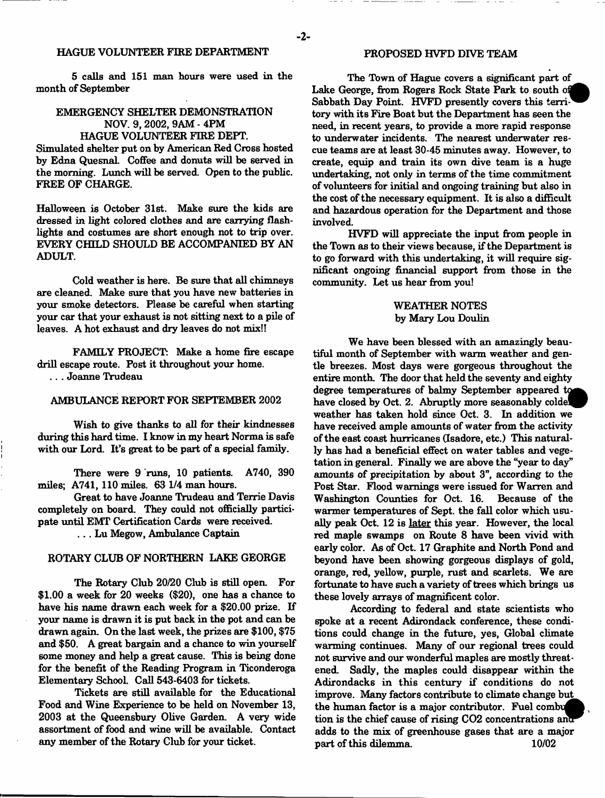# HAGUE VOLUNTEER FIRE DEPARTMENT

5 calls and 151 man hours were used in the month of September

# EMERGENCY SHELTER DEMONSTRATION NOV. 9, 2002, 9AM - 4PM HAGUE VOLUNTEER FIRE DEPT.

Simulated shelter put on by American Red Cross hosted by Edna QuesnaL Coffee and donuts will be served in the morning. Lunch will be served. Open to the public. FREE OF CHARGE.

Halloween is October 31st. Make sure the kids are dressed in light colored clothes and are carrying flashlights and costumes are short enough not to trip over. EVERY CHILD SHOULD BE ACCOMPANIED BY AN ADULT.

Cold weather is here. Be sure that all chimneys are cleaned. Make sure that you have new batteries in your smoke detectors. Please be careful when starting your car that your exhaust is not sitting next to a pile of leaves. A hot exhaust and dry leaves do not mix!!

FAMILY PROJECT: Make a home fire escape drill escape route. Post it throughout your home. .. . Joanne Trudeau

# AMBULANCE REPORT FOR SEPTEMBER 2002

Wish to give thanks to all for their kindnesses during this hard time. I know in my heart Norma is safe with our Lord. It's great to be part of a special family.

There were 9 runs, 10 patients. A740, 390 miles; A741,110 miles. 63 1/4 man hours.

Great to have Joanne Trudeau and Terrie Davis completely on board. They could not officially participate until EMT Certification Cards were received.

. . . Lu Megow, Ambulance Captain

# ROTARY CLUB OF NORTHERN LAKE GEORGE

The Rotary Club 20/20 Club is still open. For \$1.00 a week for 20 weeks (\$20), one has a chance to have his name drawn each week for a \$20.00 prize. If your name is drawn it is put back in the pot and can be drawn again. On the last week, the prizes are \$100, \$75 and \$50. A great bargain and a chance to win yourself some money and help a great cause. This is being done for the benefit of the Reading Program in Ticonderoga Elementary School. Call 543-6403 for tickets.

Tickets are still available for the Educational Food and Wine Experience to be held on November 13, 2003 at the Queensbury Olive Garden. A very wide assortment of food and wine will be available. Contact any member of the Rotary Club for your ticket.

# PROPOSED HVFD DIVE TEAM

The Town of Hague covers a significant part of Lake George, from Rogers Rock State Park to south Sabbath Day Point. HVFD presently covers this territory with its Fire Boat but the Department has seen the need, in recent years, to provide a more rapid response to underwater incidents. The nearest underwater rescue teams are at least 30-45 minutes away. However, to create, equip and train its own dive team is a huge undertaking, not only in terms of the time commitment of volunteers for initial and ongoing training but also in the cost of the necessary equipment. It is also a difficult and hazardous operation for the Department and those involved.

HVFD will appreciate the input from people in the Town as to their views because, if the Department is to go forward with this undertaking, it will require significant ongoing financial support from those in the community. Let us hear from you!

# WEATHER NOTES by Mary Lou Doulin

We have been blessed with an amazingly beautiful month of September with warm weather and gentle breezes. Most days were gorgeous throughout the entire month. The door that held the seventy and eighty degree temperatures of balmy September appeared to have closed by Oct. 2. Abruptly more seasonably colde weather has taken hold since Oct. 3. In addition we have received ample amounts of water from the activity of the east coast hurricanes (Isadore, etc.) This naturally has had a beneficial effect on water tables and vegetation in general. Finally we are above the "year to day" amounts of precipitation by about 3", according to the Post Star. Flood warnings were issued for Warren and Washington Counties for Oct. 16. Because of the warmer temperatures of Sept. the fall color which usually peak Oct. 12 is later this year. However, the local red maple swamps on Route 8 have been vivid with early color. As of Oct. 17 Graphite and North Pond and beyond have been showing gorgeous displays of gold, orange, red, yellow, purple, rust and scarlets. We are fortunate to have such a variety of trees which brings us these lovely arrays of magnificent color.

According to federal and state scientists who spoke at a recent Adirondack conference, these conditions could change in the future, yes, Global climate warming continues. Many of our regional trees could not survive and our wonderful maples are mostly threatened. Sadly, the maples could disappear within the Adirondacks in this century if conditions do not improve. Many factors contribute to climate change but the human factor is a major contributor. Fuel combut tion is the chief cause of rising  $CO2$  concentrations and adds to the mix of greenhouse gases that are a major part of this dilemma. 10/02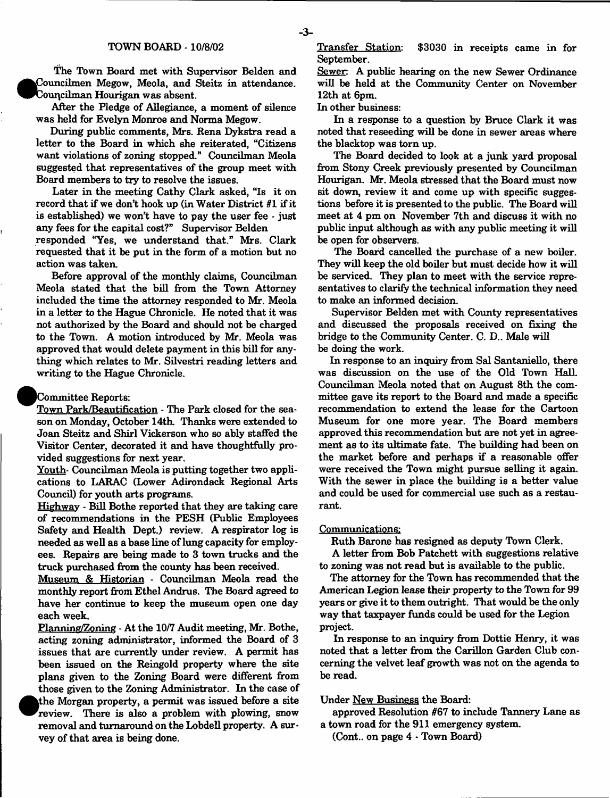The Town Board met with Supervisor Belden and  $\bullet$ Councilmen Megow, Meola, and Steitz in attendance. Councilman Hourigan was absent.

After the Pledge of Allegiance, a moment of silence was held for Evelyn Monroe and Norma Megow.

During public comments, Mrs. Rena Dykstra read a letter to the Board in which she reiterated, "Citizens want violations of zoning stopped." Councilman Meola suggested that representatives of the group meet with Board members to try to resolve the issues.

Later in the meeting Cathy Clark asked, "Is it on record that if we don't hook up (in Water District *81* if it is established) we won't have to pay the user fee - just any fees for the capital cost?" Supervisor Belden

responded "Yes, we understand that." Mrs. Clark requested that it be put in the form of a motion but no action was taken.

Before approval of the monthly claims, Councilman Meola stated that the bill from the Town Attorney included the time the attorney responded to Mr. Meola in a letter to the Hague Chronicle. He noted that it was not authorized by the Board and should not be charged to the Town. A motion introduced by Mr. Meola was approved that would delete payment in this bill for anything which relates to Mr. Silvestri reading letters and writing to the Hague Chronicle.

# Committee Reports:

Town Park/Beautification - The Park closed for the season on Monday, October 14th. Thanks were extended to Joan Steitz and Shirl Vickerson who so ably staffed the Visitor Center, decorated it and have thoughtfully provided suggestions for next year.

Youth- Councilman Meola is putting together two applications to LARAC (Lower Adirondack Regional Arts Council) for youth arts programs.

Highway - Bill Bothe reported that they are taking care of recommendations in the PESH (Public Employees Safety and Health Dept.) review. A respirator log is needed as well as a base line of lung capacity for employees. Repairs are being made to 3 town trucks and the truck purchased from the county has been received.

Museum & Historian - Councilman Meola read the monthly report from Ethel Andrus. The Board agreed to have her continue to keep the museum open one day each week.

Planning/Zoning - At the 10/7 Audit meeting, Mr. Bothe, acting zoning administrator, informed the Board of 3 issues that are currently under review. A permit has been issued on the Reingold property where the site plans given to the Zoning Board were different from those given to the Zoning Administrator. In the case of <sup>•</sup> the Morgan property, a permit was issued before a site review. There is also a problem with plowing, snow removal and turnaround on the Lobdell property. A survey of that area is being done.

Transfer Station: \$3030 in receipts came in for September.

Sewer: A public hearing on the new Sewer Ordinance will be held at the Community Center on November 12th at 6pm

In other business:

In a response to a question by Bruce Clark it was noted that reseeding will be done in sewer areas where the blacktop was tom up.

The Board decided to look at a junk yard proposal from Stony Creek previously presented by Councilman Hourigan. Mr. Meola stressed that the Board must now sit down, review it and come up with specific suggestions before it is presented to the public. The Board will meet at 4 pm on November 7th and discuss it with no public input although as with any public meeting it will be open for observers.

The Board cancelled the purchase of a new boiler. They will keep the old boiler but must decide how it will be serviced. They plan to meet with the service representatives to clarify the technical information they need to make an informed decision.

Supervisor Belden met with County representatives and discussed the proposals received on fixing the bridge to the Community Center. C. D.. Male will be doing the work.

In response to an inquiry from Sal Santaniello, there was discussion on the use of the Old Town Hall. Councilman Meola noted that on August 8th the committee gave its report to the Board and made a specific recommendation to extend the lease for the Cartoon Museum for one more year. The Board members approved this recommendation but are not yet in agreement as to its ultimate fate. The building had been on the market before and perhaps if a reasonable offer were received the Town might pursue selling it again. With the sewer in place the building is a better value and could be used for commercial use such as a restaurant.

#### Communications:

Ruth Barone has resigned as deputy Town Clerk.

A letter from Bob Patchett with suggestions relative to zoning was not read but is available to the public.

The attorney for the Town has recommended that the American Legion lease their property to the Town for 99 years or give it to them outright. That would be the only way that taxpayer funds could be used for the Legion project.

In response to an inquiry from Dottie Henry, it was noted that a letter from the Carillon Garden Club concerning the velvet leaf growth was not on the agenda to be read.

#### Under New Business the Board:

approved Resolution #67 to include Tannery Lane as a town road for the 911 emergency system.

(Cont.. on page 4 - Town Board)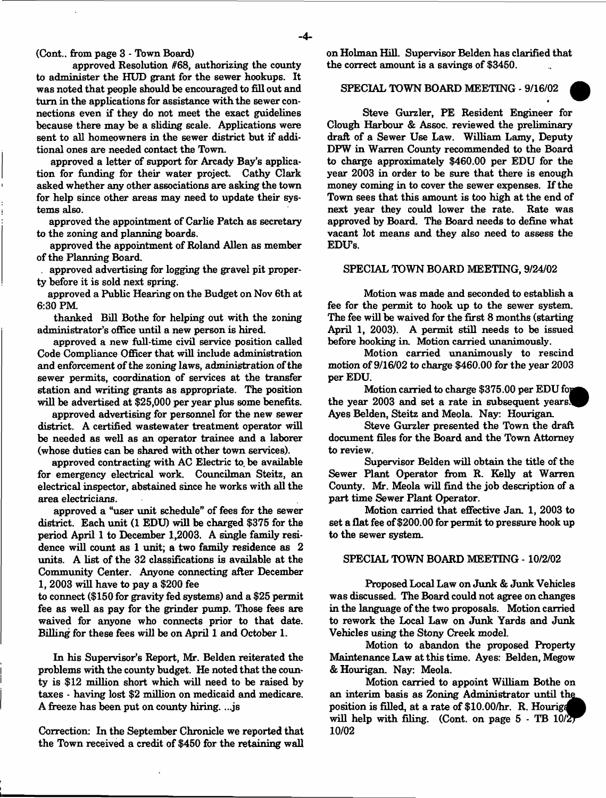(Cont.. from page 3 - Town Board)

approved Resolution #68, authorizing the county to administer the HUD grant for the sewer hookups. It was noted that people should be encouraged to fill out and turn in the applications for assistance with the sewer connections even if they do not meet the exact guidelines because there may be a sliding scale. Applications were sent to all homeowners in the sewer district but if additional ones are needed contact the Town.

approved a letter of support for Arcady Bay's application for funding for their water project. Cathy Clark asked whether any other associations are asking the town for help since other areas may need to update their systems also.

approved the appointment of Carlie Patch as secretary to the zoning and planning boards.

approved the appointment of Roland Allen as member of the Planning Board.

. approved advertising for logging the gravel pit property before it is sold next spring.

approved a Public Hearing on the Budget on Nov 6th at 6:30 PM.

thanked Bill Bothe for helping out with the zoning administrator's office until a new person is hired.

approved a new full-time civil service position called Code Compliance Officer that will include administration and enforcement of the zoning laws, administration of the sewer permits, coordination of services at the transfer station and writing grants as appropriate. The position will be advertised at \$25,000 per year plus some benefits.

approved advertising for personnel for the new sewer district. A certified wastewater treatment operator will be needed as well as an operator trainee and a laborer (whose duties can be shared with other town services).

approved contracting with AC Electric to. be available for emergency electrical work. Councilman Steitz, an electrical inspector, abstained since he works with all the area electricians.

approved a "user unit schedule" of fees for the sewer district. Each unit (1 EDU) will be charged \$375 for the period April 1 to December 1,2003. A single family residence will count as 1 unit; a two family residence as 2 units. A list of the 32 classifications is available at the Community Center. Anyone connecting after December 1, 2003 will have to pay a \$200 fee

to connect (\$150 for gravity fed systems) and a \$25 permit fee as well as pay for the grinder pump. Those fees are waived for anyone who connects prior to that date. Billing for these fees will be on April 1 and October 1.

In his Supervisor's Report, Mr. Belden reiterated the problems with the county budget. He noted that the county is \$12 million short which will need to be raised by taxes - having lost \$2 million on medicaid and medicare. A freeze has been put on county hiring. ...js

Correction: In the September Chronicle we reported that the Town received a credit of \$450 for the retaining wall on Holman Hill. Supervisor Belden has clarified that the correct amount is a savings of \$3450.

# SPECIAL TOWN BOARD MEETING - 9/16/02

Steve Gurzler, PE Resident Engineer for Clough Harbour & Assoc, reviewed the preliminary draft of a Sewer Use Law. William Lamy, Deputy DPW in Warren County recommended to the Board to charge approximately \$460.00 per EDU for the year 2003 in order to be sure that there is enough money coming in to cover the sewer expenses. If the Town sees that this amount is too high at the end of next year they could lower the rate. Rate was approved by Board. The Board needs to define what vacant lot means and they also need to assess the EDU's.

#### SPECIAL TOWN BOARD MEETING, 9/24/02

Motion was made and seconded to establish a fee for the permit to hook up to the sewer system. The fee will be waived for the first 8 months (starting April 1, 2003). A permit still needs to be issued before hooking in. Motion carried unanimously.

Motion carried unanimously to rescind motion of 9/16/02 to charge \$460.00 for the year 2003 per EDU.

Motion carried to charge  $$375.00$  per EDU for the year  $2003$  and set a rate in subsequent years. Ayes Belden, Steitz and Meola. Nay: Hourigan.

Steve Gurzler presented the Town the draft document files for the Board and the Town Attorney to review.

Supervisor Belden will obtain the title of the Sewer Plant Operator from R. Kelly at Warren County. Mr. Meola will find the job description of a part time Sewer Plant Operator.

Motion carried that effective Jan. 1, 2003 to set a flat fee of \$200.00 for permit to pressure hook up to the sewer system.

## SPECIAL TOWN BOARD MEETING -10/2/02

Proposed Local Law on Junk & Junk Vehicles was discussed. The Board could not agree on changes in the language of the two proposals. Motion carried to rework the Local Law on Junk Yards and Junk Vehicles using the Stony Creek model.

Motion to abandon the proposed Property Maintenance Law at this time. Ayes: Belden, Megow & Hourigan. Nay: Meola.

Motion carried to appoint William Bothe on an interim basis as Zoning Administrator until t position is filled, at a rate of \$10.00/hr. R. Hourigi position is filled, at a rate of  $\phi$ 10.000ff. **K.** Flotting<br>will help with filing. (Cont. on page 5 - TB 10/2) **10/02**



«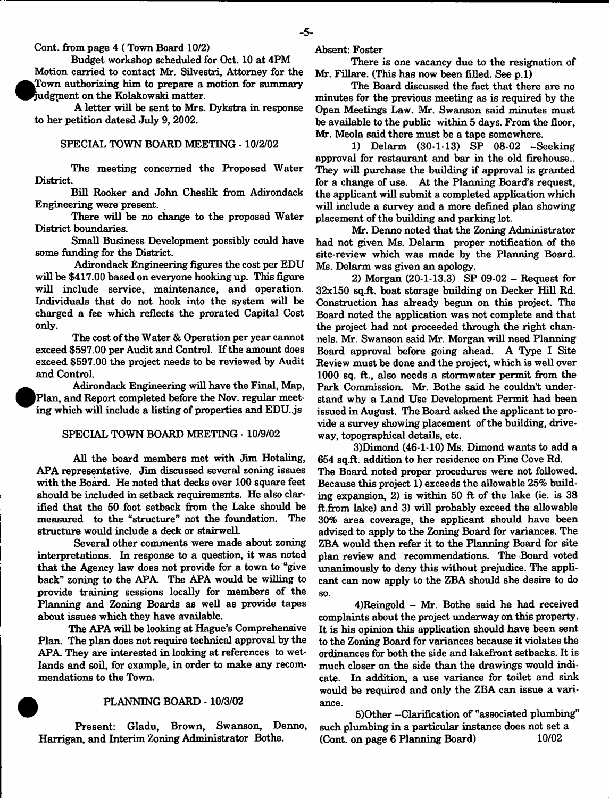Cont. from page 4 ( Town Board 10/2)

Budget workshop scheduled for Oct. 10 at 4PM Motion carried to contact Mr. Silvestri, Attorney for the Town authorizing him to prepare a motion for summary Judgment on the Kolakowski matter.

A letter will be sent to Mrs. Dykstra in response to her petition datesd July 9, 2002.

#### SPECIAL TOWN BOARD MEETING -10/2/02

The meeting concerned the Proposed Water District.

Bill Rooker and John Cheslik from Adirondack Engineering were present.

There will be no change to the proposed Water District boundaries.

Small Business Development possibly could have some funding for the District.

Adirondack Engineering figures the cost per EDU will be \$417.00 based on everyone hooking up. This figure will include service, maintenance, and operation. Individuals that do not hook into the system will be charged a fee which reflects the prorated Capital Cost only.

The cost of the Water & Operation per year cannot exceed \$597.00 per Audit and Control. If the amount does exceed \$597.00 the project needs to be reviewed by Audit and Control.

 $\bullet$  Adirondack Engineering will have the Final, Map, Plan, and Report completed before the Nov. regular meeting which will include a listing of properties and EDU..js

### SPECIAL TOWN BOARD MEETING -10/9/02

All the board members met with Jim Hotaling, APA representative. Jim discussed several zoning issues with the Board. He noted that decks over 100 square feet should be included in setback requirements. He also clarified that the 50 foot setback from the Lake should be measured to the "structure" not the foundation. The structure would include a deck or stairwell.

Several other comments were made about zoning interpretations. In response to a question, it was noted that the Agency law does not provide for a town to "give back" zoning to the APA. The APA would be willing to provide training sessions locally for members of the Planning and Zoning Boards as well as provide tapes about issues which they have available.

The APA will be looking at Hague's Comprehensive Plan. The plan does not require technical approval by the APA. They are interested in looking at references to wetlands and soil, for example, in order to make any recommendations to the Town.

#### PLANNING BOARD - 10/3/02

Present: Gladu, Brown, Swanson, Denno, Harrigan, and Interim Zoning Administrator Bothe.

Absent: Foster

There is one vacancy due to the resignation of Mr. Fillare. (This has now been filled. See p.l)

The Board discussed the fact that there are no minutes for the previous meeting as is required by the Open Meetings Law. Mr. Swanson said minutes must be available to the public within 5 days. From the floor, Mr. Meola said there must be a tape somewhere.

1) Delarm (30-1-13) SP 08-02 -Seeking approval for restaurant and bar in the old firehouse.. They will purchase the building if approval is granted for a change of use. At the Planning Board's request, the applicant will submit a completed application which will include a survey and a more defined plan showing placement of the building and parking lot.

Mr. Denno noted that the Zoning Administrator had not given Ms. Delarm proper notification of the site-review which was made by the Planning Board. Ms. Delarm was given an apology.

2) Morgan (20-1-13.3) SP 09-02 - Request for 32x150 sq.ft. boat storage building on Decker Hill Rd. Construction has already begun on this project. The Board noted the application was not complete and that the project had not proceeded through the right channels. Mr. Swanson said Mr. Morgan will need Planning Board approval before going ahead. A Type I Site Review must be done and the project, which is well over 1000 sq. ft., also needs a stormwater permit from the Park Commission. Mr. Bothe said he couldn't understand why a Land Use Development Permit had been issued in August. The Board asked the applicant to provide a survey showing placement of the building, driveway, topographical details, etc.

3)Dimond (46-1-10) Ms. Dimond wants to add a 654 sq.ft. addition to her residence on Pine Cove Rd. The Board noted proper procedures were not followed. Because this project 1) exceeds the allowable 25% building expansion, 2) is within 50 ft of the lake (ie. is 38 ft.from Lake) and 3) will probably exceed the allowable 30% area coverage, the applicant should have been advised to apply to the Zoning Board for variances. The ZBA would then refer it to the Planning Board for site plan review and recommendations. The Board voted unanimously to deny this without prejudice. The applicant can now apply to the ZBA should she desire to do so.

4)Reingold - Mr. Bothe said he had received complaints about the project underway on this property. It is his opinion this application should have been sent to the Zoning Board for variances because it violates the ordinances for both the side and lakefront setbacks. It is much closer on the side than the drawings would indicate. In addition, a use variance for toilet and sink would be required and only the ZBA can issue a variance.

5)Other -Clarification of "associated plumbing" such plumbing in a particular instance does not set a (Cont. on page 6 Planning Board) 10/02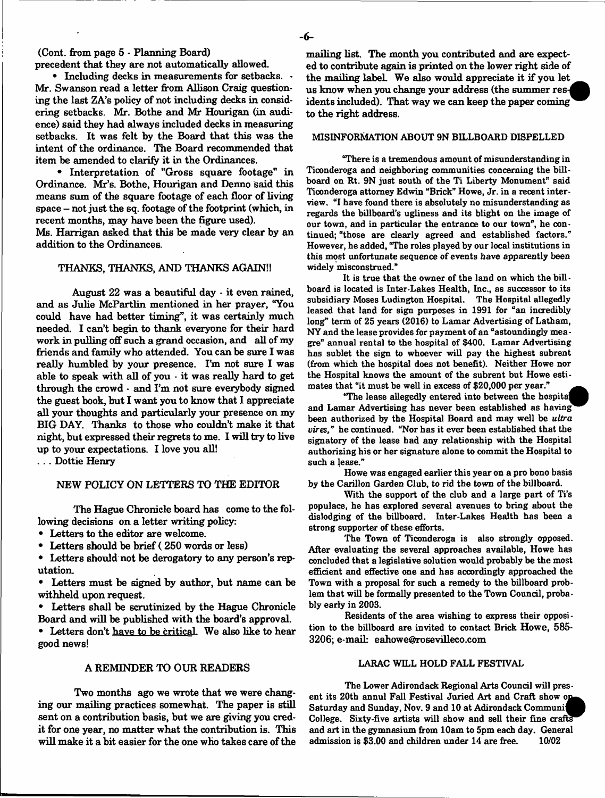(Cont. from page 5 - Planning Board)

precedent that they are not automatically allowed.

• Including decks in measurements for setbacks.  $\cdot$ Mr. Swanson read a letter from Allison Craig questioning the last ZA's policy of not including decks in considering setbacks. Mr. Bothe and Mr Hourigan (in audience) said they had always included decks in measuring setbacks. It was felt by the Board that this was the intent of the ordinance. The Board recommended that item be amended to clarify it in the Ordinances.

• Interpretation of "Gross square footage" in Ordinance. Mr's. Bothe, Hourigan and Denno said this means sum of the square footage of each floor of living space - not just the sq. footage of the footprint (which, in recent months, may have been the figure used).

Ms. Harrigan asked that this be made very clear by an addition to the Ordinances.

#### THANKS, THANKS, AND THANKS AGAIN!!

August 22 was a beautiful day - it even rained, and as Julie McPartlin mentioned in her prayer, "You could have had better timing", it was certainly much needed. I can't begin to thank everyone for their hard work in pulling off such a grand occasion, and all of my friends and family who attended. You can be sure I was really humbled by your presence. I'm not sure I was able to speak with all of you - it was really hard to get through the crowd - and I'm not sure everybody signed the guest book, but I want you to know that I appreciate all your thoughts and particularly your presence on my BIG DAY. Thanks to those who couldn't make it that night, but expressed their regrets to me. I will try to live up to your expectations. I love you all!

. . . Dottie Henry

### NEW POLICY ON LETTERS TO THE EDITOR

The Hague Chronicle board has come to the following decisions on a letter writing policy:

• Letters to the editor are welcome.

• Letters should be brief (250 words or less)

• Letters should not be derogatory to any person's reputation.

• Letters must be signed by author, but name can be withheld upon request.

• Letters shall be scrutinized by the Hague Chronicle Board and will be published with the board's approval.

• Letters don't have to be critical. We also like to hear good news!

#### A REMINDER TO OUR READERS

Two months ago we wrote that we were changing our mailing practices somewhat. The paper is still sent on a contribution basis, but we are giving you credit for one year, no matter what the contribution is. This will make it a bit easier for the one who takes care of the

mailing list. The month you contributed and are expected to contribute again is printed on the lower right side of the mailing labeL We also would appreciate it if you let us know when you change your address (the summer residents included). That way we can keep the paper coming to the right address.

## MISINFORMATION ABOUT 9N BILLBOARD DISPELLED

"There is a tremendous amount of misunderstanding in Ticonderoga and neighboring communities concerning the billboard on Rt. 9N just south of the Ti Liberty Monument" said Ticonderoga attorney Edwin "Brick" Howe, Jr. in a recent interview. "I have found there is absolutely no misunderstanding as regards the billboard's ugliness and its blight on the image of our town, and in particular the entrance to our town", he continued; "those are clearly agreed and established factors." However, he added, "The roles played by our local institutions in this most unfortunate sequence of events have apparently been widely misconstrued."

It is true that the owner of the land on which the bill board is located is Inter-Lakes Health, Inc., as successor to its subsidiary Moses Ludington Hospital. The Hospital allegedly leased that land for sign purposes in 1991 for "an incredibly long" term of 25 years (2016) to Lamar Advertising of Latham, NY and the lease provides for payment of an "astoundingly meagre" annual rental to the hospital of \$400. Lamar Advertising has sublet the sign to whoever will pay the highest subrent (from which the hospital does not benefit). Neither Howe nor the Hospital knows the amount of the subrent but Howe estimates that "it must be well in excess of \$20,000 per year."

"The lease allegedly entered into between the hospital and Lamar Advertising has never been established as having been authorized by the Hospital Board and may well be *ultra vires,"* he continued. "Nor has it ever been established that the signatory of the lease had any relationship with the Hospital authorizing his or her signature alone to commit the Hospital to such a lease."

Howe was engaged earlier this year on a pro bono basis by the Carillon Garden Club, to rid the town of the billboard.

With the support of the dub and a large part of Ti's populace, he has explored several avenues to bring about the dislodging of the billboard. Inter-Lakes Health has been a strong supporter of these efforts.

The Town of Ticonderoga is also strongly opposed. After evaluating the several approaches available, Howe has concluded that a legislative solution would probably be the most effident and effective one and has accordingly approached the Town with a proposal for such a remedy to the billboard problem that will be formally presented to the Town Council, probably early in 2003.

Residents of the area wishing to express their opposi tion to the billboard are invited to contact Brick Howe, 585- 3206; e-mail: [eahowe@rosevilIeco.com](mailto:eahowe@rosevilIeco.com)

#### LARAC WILL HOLD FALL FESTIVAL

The Lower Adirondack Regional Arts Council will present its 20th annul Fall Festival Juried Art and Craft show op-Saturday and Sunday, Nov. 9 and 10 at Adirondack Communi Saturday and Sunday, Nov. 9 and 10 at Adirondack Communic<br>College. Sixty-five artists will show and sell their fine crafts and art in the gymnasium from 10am to 5pm each day. General admission is \$3.00 and children under 14 are free. 10/02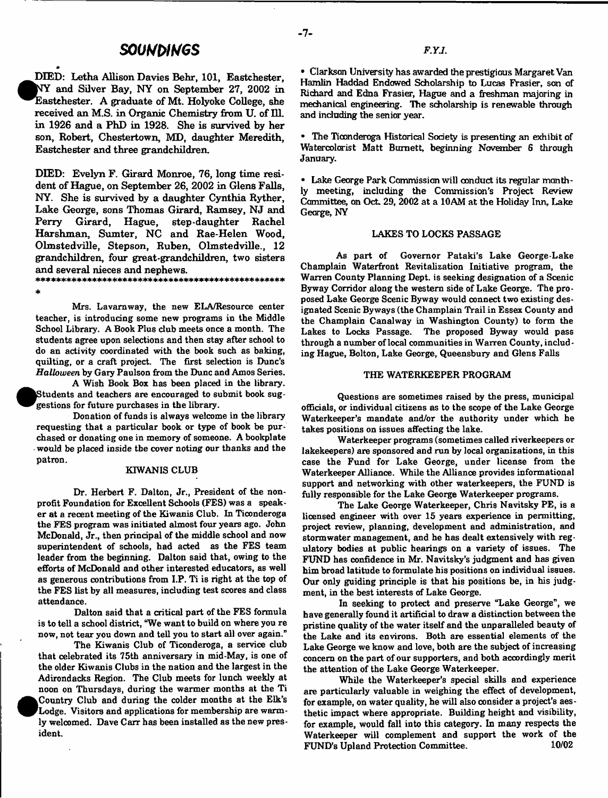# *souumGs*

^IDIED: Letha Allison Davies Behr, 101, Eastchester, NY and Silver Bay, NY on September 27, 2002 in ^^E astehester. A graduate of Mt. Holyoke College, she received an M.S. in Organic Chemistry from U. of 111. in 1926 and a PhD in 1928. She is survived by her son, Robert, Chestertown, MD, daughter Meredith, Eastchester and three grandchildren.

DIED: Evelyn F. Girard Monroe, 76, long time resident of Hague, on September 26, 2002 in Glens Falls, NY. She is survived by a daughter Cynthia Ryther, Lake George, sons Thomas Girard, Ramsey, NJ and Perry Girard, Hague, step-daughter Rachel Harshman, Sumter, NC and Rae-Helen Wood, Olmstedville, Stepson, Ruben, Olmstedville., 12 grandchildren, four great-grandchildren, two sisters and several nieces and nephews. 9 M t \* 4c \* \* \* \* \* \* \* \* \* Jf\* jM e \* \* 4 \* \* 4c \* \* 4c \* \* \* \* Ifc^l i f \* l)t \$ \$ i f i f \* 4c l i e \* \* \* \*

\*

*m*

Mrs. Lavarnway, the new ELA/Resource center teacher, is introducing some new programs in the Middle School Library. A Book Plus club meets once a month. The students agree upon selections and then stay after school to do an activity coordinated with the book such as baking, quilting, or a craft project. The first selection is Dune's *Halloween* by Gary Paulson from the Dune and Amos Series.

A Wish Book Box has been placed in the library. Students and teachers are encouraged to submit book suggestions for future purchases in the library.

• Donation of funds is always welcome in the library requesting that a particular book or type of book be purchased or donating one in memory of someone. A bookplate would be placed inside the cover noting our thanks and the patron.

# KIWANIS CLUB

Dr. Herbert F. Dalton, Jr., President of the nonprofit Foundation for Excellent Schools (FES) was a speaker at a recent meeting of the Kiwanis Club. In Ticonderoga the FES program was initiated almost four years ago. John McDonald, Jr., then principal of the middle school and now superintendent of schools, had acted as the FES team leader from the beginning. Dalton said that, owing to the efforts of McDonald and other interested educators, as well as generous contributions from I.P. Ti is right at the top of the FES list by all measures, including test scores and class attendance.

Dalton said that a critical part of the FES formula is to tell a school district, "We want to build on where you re now, not tear you down and tell you to start all over again."

The Kiwanis Club of Ticonderoga, a service dub that celebrated its 75th anniversary in mid-May, is one of the older Kiwanis Clubs in the nation and the largest in the Adirondacks Region. The Club meets for lunch weekly at noon on Thursdays, during the warmer months at the Ti <sup>•</sup> Country Club and during the colder months at the Elk's Lodge. Visitors and applications for membership are warmly welcomed. Dave Carr has been installed as the new president.

• Clarkson University has awarded the prestigious Margaret Van Hamlin Haddad Endowed Scholarship to Lucas Frasier, son of Richard and Edna Frasier, Hague and a freshman majoring in mechanical engineering. The scholarship is renewable through and including the senior year.

• The Ticonderoga Historical Society is presenting an exhibit of Watercolorist Matt Burnett, beginning November 6 through January.

■ Lake George Park Commission will conduct its regular monthly meeting, including the Commission's Project Review Committee, on OcL 29, 2002 at a 10AM at the Holiday Inn, Lake George, NY

#### LAKES TO LOCKS PASSAGE

As part of Governor Pataki's Lake George-Lake Champlain Waterfront Revitalization Initiative program, the Warren County Planning Dept, is seeking designation of a Scenic Byway Corridor along the western side of Lake George. The proposed Lake George Scenic Byway would connect two existing designated Scenic Byways (the Champlain Trail in Essex County and the Champlain Canalway in Washington County) to form the Lakes to Locks Passage. The proposed Byway would pass through a number of local communities in Warren County, including Hague, Bolton, Lake George, Queensbury and Glens Falls

#### THE WATERKEEPER PROGRAM

Questions are sometimes raised by the press, municipal officials, or individual citizens as to the scope of the Lake George Waterkeeper's mandate and/or the authority under which he takes positions on issues affecting the lake.

Waterkeeper programs (sometimes called riverkeepers or lakekeepers) are sponsored and run by local organizations, in this case the Fund for Lake George, under license from the Waterkeeper Alliance. While the Alliance provides informational support and networking with other waterkeepers, the FUND is fully responsible for the Lake George Waterkeeper programs.

The Lake George Waterkeeper, Chris Navitsky PE, is a licensed engineer with over 15 years experience in permitting, project review, planning, development and administration, and stormwater management, and he has dealt extensively with regulatory bodies at public hearings on a variety of issues. The FUND has confidence in Mr. Navitsky's judgment and has given him broad latitude to formulate his positions on individual issues. Our only guiding principle is that his positions be, in his judgment, in the best interests of Lake George.

In seeking to protect and preserve "Lake George", we have generally found it artificial to draw a distinction between the pristine quality of the water itself and the unparalleled beauty of the Lake and its environs. Both are essential elements of the Lake George we know and love, both are the subject of increasing concern on the part of our supporters, and both accordingly merit the attention of the Lake George Waterkeeper.

While the Waterkeeper's special skills and experience are particularly valuable in weighing the effect of development, for example, on water quality, he will also consider a project's aesthetic impact where appropriate. Building height and visibility, for example, would fall into this category. In many respects the Waterkeeper will complement and support the work of the FUND'S Upland Protection Committee. 10/02